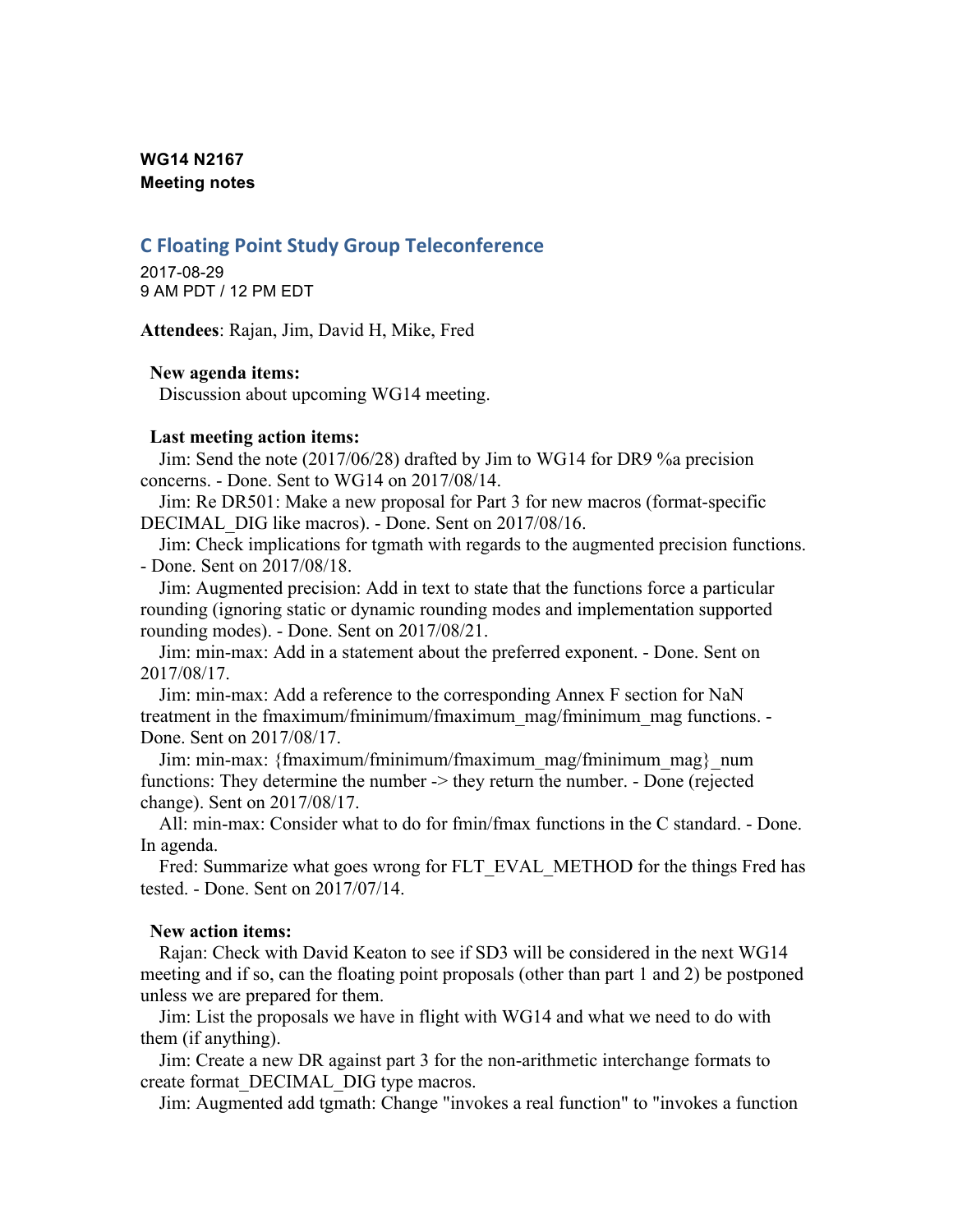# **WG14 N2167 Meeting notes**

# **C Floating Point Study Group Teleconference**

2017-08-29 9 AM PDT / 12 PM EDT

**Attendees**: Rajan, Jim, David H, Mike, Fred

### **New agenda items:**

Discussion about upcoming WG14 meeting.

### **Last meeting action items:**

Jim: Send the note (2017/06/28) drafted by Jim to WG14 for DR9 %a precision concerns. - Done. Sent to WG14 on 2017/08/14.

Jim: Re DR501: Make a new proposal for Part 3 for new macros (format-specific DECIMAL\_DIG like macros). - Done. Sent on 2017/08/16.

Jim: Check implications for tgmath with regards to the augmented precision functions. - Done. Sent on 2017/08/18.

Jim: Augmented precision: Add in text to state that the functions force a particular rounding (ignoring static or dynamic rounding modes and implementation supported rounding modes). - Done. Sent on 2017/08/21.

Jim: min-max: Add in a statement about the preferred exponent. - Done. Sent on 2017/08/17.

Jim: min-max: Add a reference to the corresponding Annex F section for NaN treatment in the fmaximum/fminimum/fmaximum\_mag/fminimum\_mag functions. - Done. Sent on 2017/08/17.

Jim: min-max: {fmaximum/fminimum/fmaximum\_mag/fminimum\_mag}\_num functions: They determine the number -> they return the number. - Done (rejected change). Sent on 2017/08/17.

All: min-max: Consider what to do for fmin/fmax functions in the C standard. - Done. In agenda.

Fred: Summarize what goes wrong for FLT\_EVAL\_METHOD for the things Fred has tested. - Done. Sent on 2017/07/14.

## **New action items:**

Rajan: Check with David Keaton to see if SD3 will be considered in the next WG14 meeting and if so, can the floating point proposals (other than part 1 and 2) be postponed unless we are prepared for them.

Jim: List the proposals we have in flight with WG14 and what we need to do with them (if anything).

Jim: Create a new DR against part 3 for the non-arithmetic interchange formats to create format\_DECIMAL\_DIG type macros.

Jim: Augmented add tgmath: Change "invokes a real function" to "invokes a function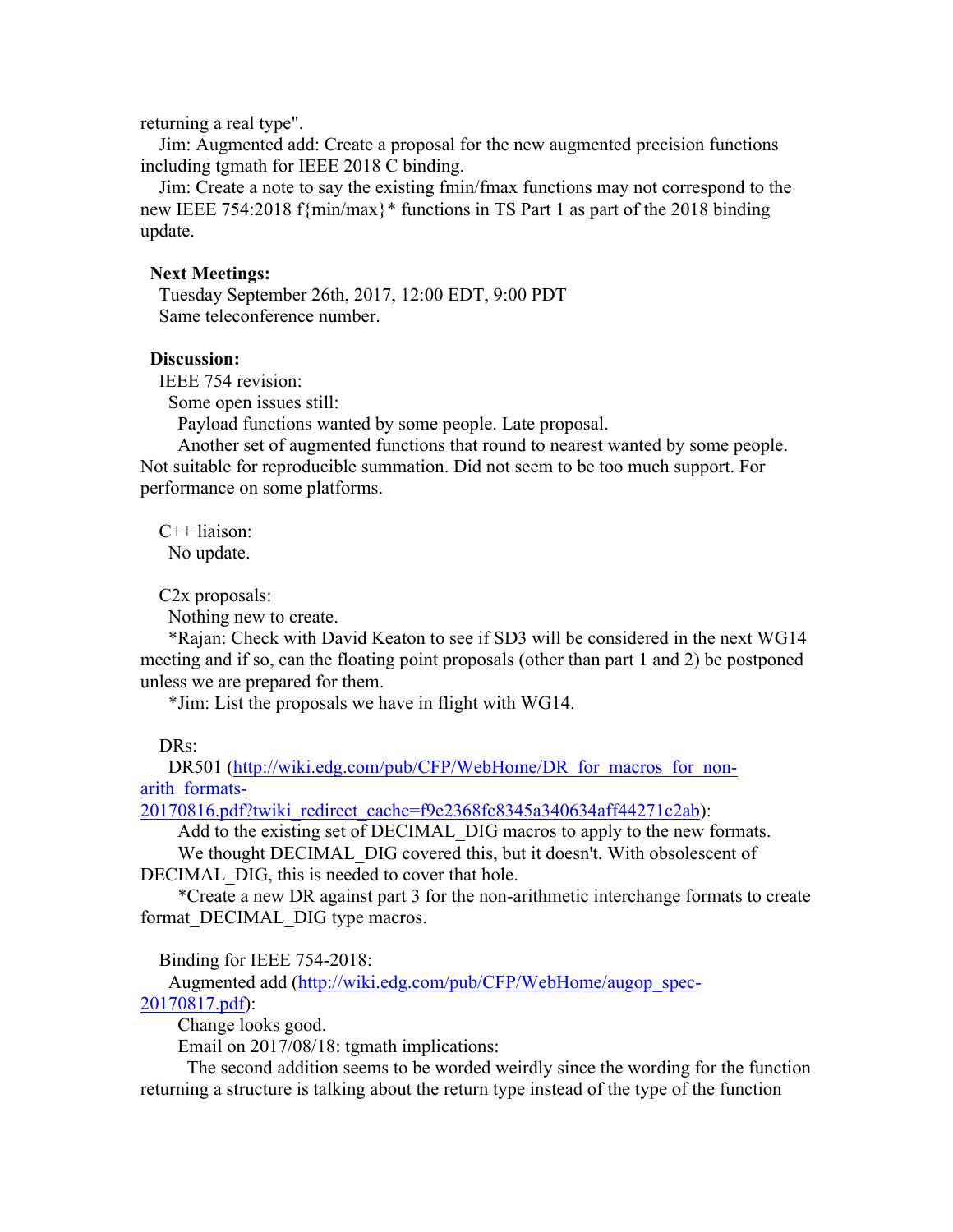returning a real type".

Jim: Augmented add: Create a proposal for the new augmented precision functions including tgmath for IEEE 2018 C binding.

Jim: Create a note to say the existing fmin/fmax functions may not correspond to the new IEEE 754:2018 f{min/max}\* functions in TS Part 1 as part of the 2018 binding update.

#### **Next Meetings:**

Tuesday September 26th, 2017, 12:00 EDT, 9:00 PDT Same teleconference number.

## **Discussion:**

IEEE 754 revision:

Some open issues still:

Payload functions wanted by some people. Late proposal.

Another set of augmented functions that round to nearest wanted by some people. Not suitable for reproducible summation. Did not seem to be too much support. For performance on some platforms.

C++ liaison: No update.

C2x proposals:

Nothing new to create.

\*Rajan: Check with David Keaton to see if SD3 will be considered in the next WG14 meeting and if so, can the floating point proposals (other than part 1 and 2) be postponed unless we are prepared for them.

\*Jim: List the proposals we have in flight with WG14.

#### DR<sub>s</sub>:

DR501 (http://wiki.edg.com/pub/CFP/WebHome/DR\_for\_macros\_for\_nonarith\_formats-

20170816.pdf?twiki\_redirect\_cache=f9e2368fc8345a340634aff44271c2ab):

Add to the existing set of DECIMAL DIG macros to apply to the new formats.

We thought DECIMAL DIG covered this, but it doesn't. With obsolescent of DECIMAL DIG, this is needed to cover that hole.

\*Create a new DR against part 3 for the non-arithmetic interchange formats to create format DECIMAL DIG type macros.

Binding for IEEE 754-2018:

Augmented add (http://wiki.edg.com/pub/CFP/WebHome/augop\_spec-20170817.pdf):

Change looks good.

Email on 2017/08/18: tgmath implications:

The second addition seems to be worded weirdly since the wording for the function returning a structure is talking about the return type instead of the type of the function